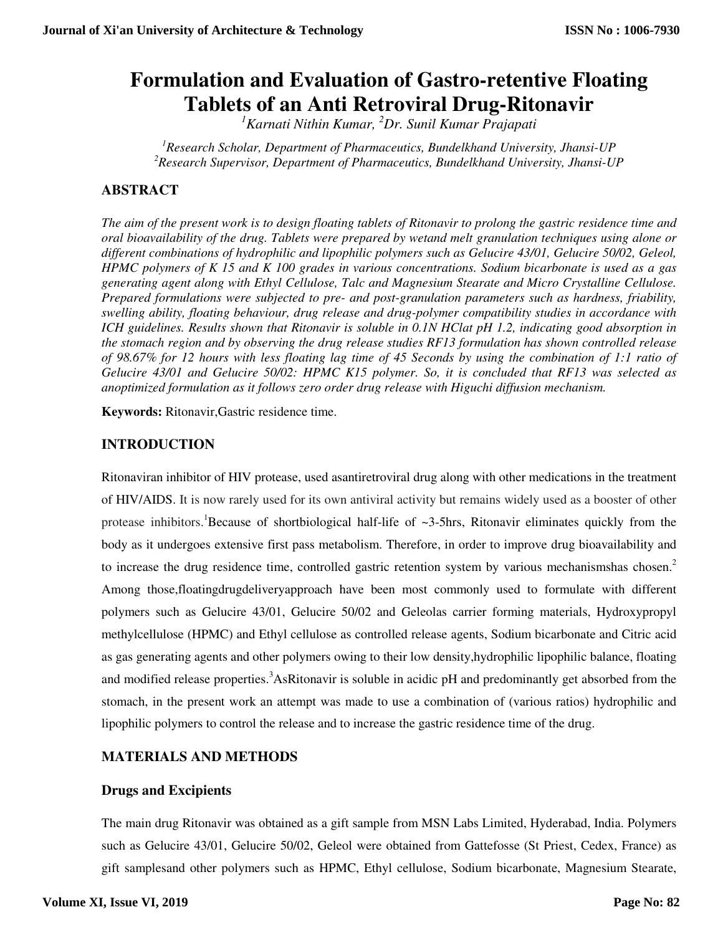# **Formulation and Evaluation of Gastro-retentive Floating Tablets of an Anti Retroviral Drug-Ritonavir**

*<sup>1</sup>Karnati Nithin Kumar, <sup>2</sup>Dr. Sunil Kumar Prajapati* 

*<sup>1</sup>Research Scholar, Department of Pharmaceutics, Bundelkhand University, Jhansi-UP <sup>2</sup>Research Supervisor, Department of Pharmaceutics, Bundelkhand University, Jhansi-UP* 

# **ABSTRACT**

*The aim of the present work is to design floating tablets of Ritonavir to prolong the gastric residence time and oral bioavailability of the drug. Tablets were prepared by wetand melt granulation techniques using alone or different combinations of hydrophilic and lipophilic polymers such as Gelucire 43/01, Gelucire 50/02, Geleol, HPMC polymers of K 15 and K 100 grades in various concentrations. Sodium bicarbonate is used as a gas generating agent along with Ethyl Cellulose, Talc and Magnesium Stearate and Micro Crystalline Cellulose. Prepared formulations were subjected to pre- and post-granulation parameters such as hardness, friability, swelling ability, floating behaviour, drug release and drug-polymer compatibility studies in accordance with ICH guidelines. Results shown that Ritonavir is soluble in 0.1N HClat pH 1.2, indicating good absorption in the stomach region and by observing the drug release studies RF13 formulation has shown controlled release of 98.67% for 12 hours with less floating lag time of 45 Seconds by using the combination of 1:1 ratio of Gelucire 43/01 and Gelucire 50/02: HPMC K15 polymer. So, it is concluded that RF13 was selected as anoptimized formulation as it follows zero order drug release with Higuchi diffusion mechanism.* 

**Keywords:** Ritonavir,Gastric residence time.

# **INTRODUCTION**

Ritonaviran inhibitor of HIV protease, used asantiretroviral drug along with other medications in the treatment of HIV/AIDS. It is now rarely used for its own antiviral activity but remains widely used as a booster of other protease inhibitors.<sup>1</sup>Because of shortbiological half-life of  $\sim$ 3-5hrs, Ritonavir eliminates quickly from the body as it undergoes extensive first pass metabolism. Therefore, in order to improve drug bioavailability and to increase the drug residence time, controlled gastric retention system by various mechanismshas chosen.<sup>2</sup> Among those,floatingdrugdeliveryapproach have been most commonly used to formulate with different polymers such as Gelucire 43/01, Gelucire 50/02 and Geleolas carrier forming materials, Hydroxypropyl methylcellulose (HPMC) and Ethyl cellulose as controlled release agents, Sodium bicarbonate and Citric acid as gas generating agents and other polymers owing to their low density,hydrophilic lipophilic balance, floating and modified release properties.<sup>3</sup>AsRitonavir is soluble in acidic pH and predominantly get absorbed from the stomach, in the present work an attempt was made to use a combination of (various ratios) hydrophilic and lipophilic polymers to control the release and to increase the gastric residence time of the drug.

# **MATERIALS AND METHODS**

### **Drugs and Excipients**

The main drug Ritonavir was obtained as a gift sample from MSN Labs Limited, Hyderabad, India. Polymers such as Gelucire 43/01, Gelucire 50/02, Geleol were obtained from Gattefosse (St Priest, Cedex, France) as gift samplesand other polymers such as HPMC, Ethyl cellulose, Sodium bicarbonate, Magnesium Stearate,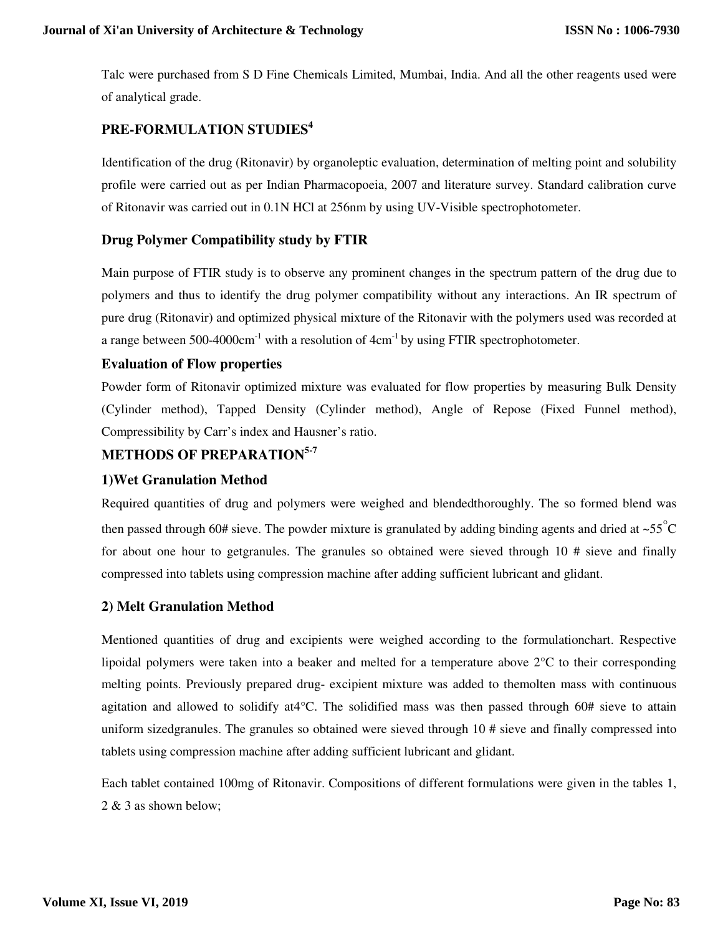Talc were purchased from S D Fine Chemicals Limited, Mumbai, India. And all the other reagents used were of analytical grade.

# **PRE-FORMULATION STUDIES<sup>4</sup>**

Identification of the drug (Ritonavir) by organoleptic evaluation, determination of melting point and solubility profile were carried out as per Indian Pharmacopoeia, 2007 and literature survey. Standard calibration curve of Ritonavir was carried out in 0.1N HCl at 256nm by using UV-Visible spectrophotometer.

### **Drug Polymer Compatibility study by FTIR**

Main purpose of FTIR study is to observe any prominent changes in the spectrum pattern of the drug due to polymers and thus to identify the drug polymer compatibility without any interactions. An IR spectrum of pure drug (Ritonavir) and optimized physical mixture of the Ritonavir with the polymers used was recorded at a range between 500-4000cm<sup>-1</sup> with a resolution of 4cm<sup>-1</sup> by using FTIR spectrophotometer.

#### **Evaluation of Flow properties**

Powder form of Ritonavir optimized mixture was evaluated for flow properties by measuring Bulk Density (Cylinder method), Tapped Density (Cylinder method), Angle of Repose (Fixed Funnel method), Compressibility by Carr's index and Hausner's ratio.

# **METHODS OF PREPARATION5-7**

### **1)Wet Granulation Method**

Required quantities of drug and polymers were weighed and blendedthoroughly. The so formed blend was then passed through 60# sieve. The powder mixture is granulated by adding binding agents and dried at ~55 $^{\circ}$ C for about one hour to getgranules. The granules so obtained were sieved through 10 # sieve and finally compressed into tablets using compression machine after adding sufficient lubricant and glidant.

### **2) Melt Granulation Method**

Mentioned quantities of drug and excipients were weighed according to the formulationchart. Respective lipoidal polymers were taken into a beaker and melted for a temperature above 2°C to their corresponding melting points. Previously prepared drug- excipient mixture was added to themolten mass with continuous agitation and allowed to solidify at4°C. The solidified mass was then passed through 60# sieve to attain uniform sizedgranules. The granules so obtained were sieved through 10 # sieve and finally compressed into tablets using compression machine after adding sufficient lubricant and glidant.

Each tablet contained 100mg of Ritonavir. Compositions of different formulations were given in the tables 1, 2 & 3 as shown below;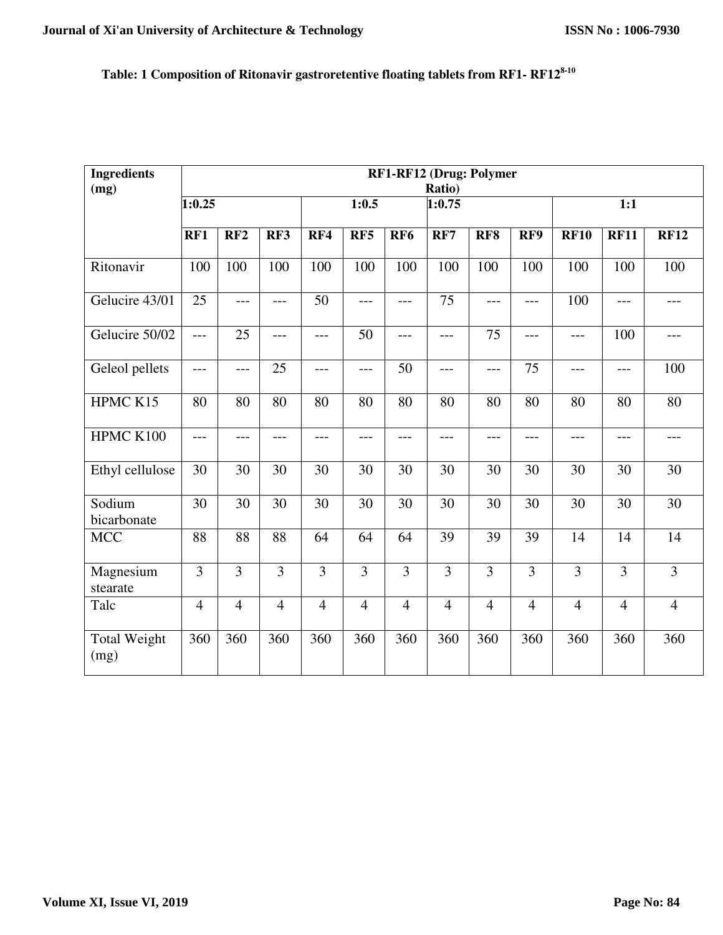# **Table: 1 Composition of Ritonavir gastroretentive floating tablets from RF1- RF128-10**

| <b>Ingredients</b><br>(mg)  | RF1-RF12 (Drug: Polymer<br>Ratio) |                 |                 |                |                 |                 |                 |                 |                 |                 |                  |                 |
|-----------------------------|-----------------------------------|-----------------|-----------------|----------------|-----------------|-----------------|-----------------|-----------------|-----------------|-----------------|------------------|-----------------|
|                             | 1:0.25                            |                 |                 |                | 1:0.5<br>1:0.75 |                 |                 |                 | 1:1             |                 |                  |                 |
|                             | RF1                               | RF2             | RF3             | RF4            | RF5             | RF <sub>6</sub> | RF7             | RF8             | RF9             | <b>RF10</b>     | <b>RF11</b>      | <b>RF12</b>     |
| Ritonavir                   | 100                               | 100             | 100             | 100            | 100             | 100             | 100             | 100             | 100             | 100             | $\overline{1}00$ | 100             |
| Gelucire 43/01              | 25                                | ---             | $---$           | 50             | $---$           | $---$           | 75              | ---             | $---$           | 100             | $---$            | $---$           |
| Gelucire 50/02              | $\overline{a}$                    | 25              | $---$           | $---$          | 50              | $---$           | $ -$            | $\overline{75}$ | $---$           | ---             | 100              | $---$           |
| Geleol pellets              | ---                               | ---             | 25              | ---            | $---$           | 50              | $ -$            | $---$           | 75              | ---             | $---$            | 100             |
| HPMC K15                    | 80                                | 80              | $\overline{80}$ | 80             | 80              | $\overline{80}$ | 80              | 80              | $\overline{80}$ | 80              | 80               | $\overline{80}$ |
| HPMC K100                   | $---$                             | ---             | $ -$            | $---$          | $---$           | $---$           | $ -$            | ---             | $ -$            | ---             | $---$            | $---$           |
| Ethyl cellulose             | 30                                | $\overline{30}$ | $\overline{30}$ | 30             | 30              | $\overline{30}$ | $\overline{30}$ | 30              | $\overline{30}$ | $\overline{30}$ | $\overline{30}$  | $\overline{30}$ |
| Sodium<br>bicarbonate       | $\overline{30}$                   | $\overline{30}$ | 30              | 30             | $\overline{30}$ | 30              | 30              | $\overline{30}$ | $\overline{30}$ | $\overline{30}$ | 30               | $\overline{30}$ |
| <b>MCC</b>                  | 88                                | 88              | 88              | 64             | 64              | 64              | 39              | 39              | 39              | 14              | 14               | 14              |
| Magnesium<br>stearate       | $\overline{3}$                    | $\overline{3}$  | $\overline{3}$  | $\overline{3}$ | $\overline{3}$  | $\overline{3}$  | $\overline{3}$  | $\overline{3}$  | $\overline{3}$  | $\overline{3}$  | $\overline{3}$   | $\overline{3}$  |
| Talc                        | $\overline{4}$                    | $\overline{4}$  | $\overline{4}$  | $\overline{4}$ | $\overline{4}$  | $\overline{4}$  | $\overline{4}$  | $\overline{4}$  | $\overline{4}$  | $\overline{4}$  | $\overline{4}$   | $\overline{4}$  |
| <b>Total Weight</b><br>(mg) | 360                               | 360             | 360             | 360            | 360             | 360             | 360             | 360             | 360             | 360             | 360              | 360             |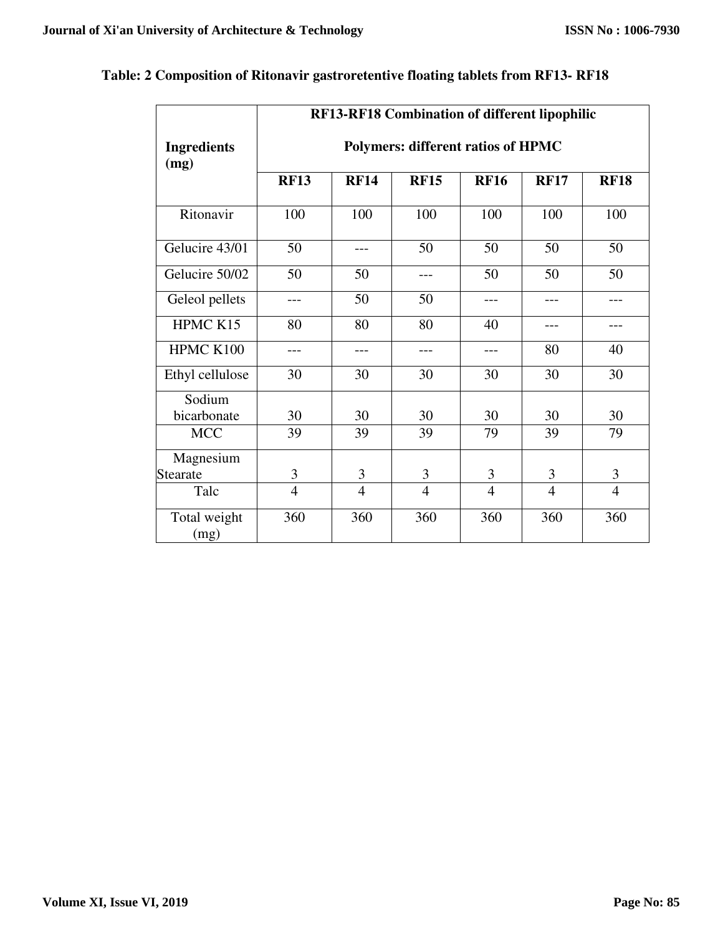$\mathsf{r}$ 

|                            | <b>RF13-RF18 Combination of different lipophilic</b> |                |                |                |                |                |  |  |  |  |
|----------------------------|------------------------------------------------------|----------------|----------------|----------------|----------------|----------------|--|--|--|--|
| <b>Ingredients</b><br>(mg) | <b>Polymers: different ratios of HPMC</b>            |                |                |                |                |                |  |  |  |  |
|                            | <b>RF13</b>                                          | <b>RF14</b>    | <b>RF15</b>    | <b>RF16</b>    | <b>RF17</b>    | <b>RF18</b>    |  |  |  |  |
| Ritonavir                  | 100                                                  | 100            | 100            | 100            | 100            | 100            |  |  |  |  |
| Gelucire 43/01             | 50                                                   | $---$          | 50             | 50             | 50             | 50             |  |  |  |  |
| Gelucire 50/02             | 50                                                   | 50             | $---$          | 50             | 50             | 50             |  |  |  |  |
| Geleol pellets             | ---                                                  | 50             | 50             | $---$          | ---            |                |  |  |  |  |
| HPMC K15                   | 80                                                   | 80             | 80             | 40             |                |                |  |  |  |  |
| HPMC K100                  | ---                                                  | ---            | ---            | $---$          | 80             | 40             |  |  |  |  |
| Ethyl cellulose            | 30                                                   | 30             | 30             | 30             | 30             | 30             |  |  |  |  |
| Sodium                     |                                                      |                |                |                |                |                |  |  |  |  |
| bicarbonate                | 30                                                   | 30             | 30             | 30             | 30             | 30             |  |  |  |  |
| <b>MCC</b>                 | 39                                                   | 39             | 39             | 79             | 39             | 79             |  |  |  |  |
| Magnesium                  |                                                      |                |                |                |                |                |  |  |  |  |
| Stearate                   | 3                                                    | $\mathfrak{Z}$ | $\mathfrak{Z}$ | 3              | 3              | 3              |  |  |  |  |
| Talc                       | $\overline{4}$                                       | $\overline{4}$ | $\overline{4}$ | $\overline{4}$ | $\overline{4}$ | $\overline{4}$ |  |  |  |  |
| Total weight<br>(mg)       | 360                                                  | 360            | 360            | 360            | 360            | 360            |  |  |  |  |

# **Table: 2 Composition of Ritonavir gastroretentive floating tablets from RF13- RF18**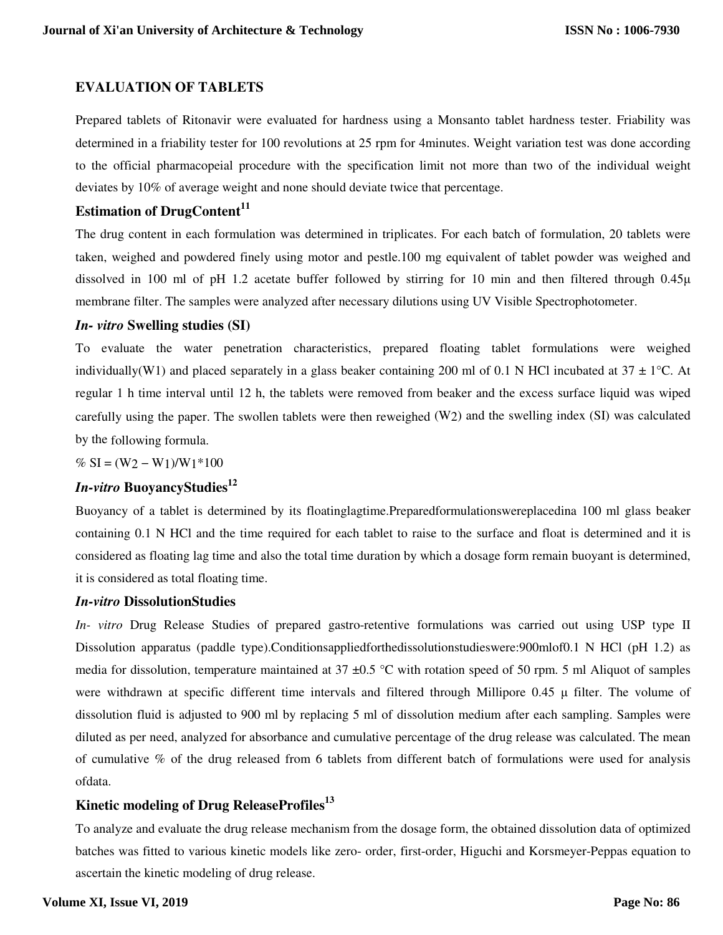### **EVALUATION OF TABLETS**

Prepared tablets of Ritonavir were evaluated for hardness using a Monsanto tablet hardness tester. Friability was determined in a friability tester for 100 revolutions at 25 rpm for 4minutes. Weight variation test was done according to the official pharmacopeial procedure with the specification limit not more than two of the individual weight deviates by 10% of average weight and none should deviate twice that percentage.

# **Estimation of DrugContent<sup>11</sup>**

The drug content in each formulation was determined in triplicates. For each batch of formulation, 20 tablets were taken, weighed and powdered finely using motor and pestle.100 mg equivalent of tablet powder was weighed and dissolved in 100 ml of pH 1.2 acetate buffer followed by stirring for 10 min and then filtered through 0.45μ membrane filter. The samples were analyzed after necessary dilutions using UV Visible Spectrophotometer.

#### *In- vitro* **Swelling studies (SI)**

To evaluate the water penetration characteristics, prepared floating tablet formulations were weighed individually(W1) and placed separately in a glass beaker containing 200 ml of 0.1 N HCl incubated at  $37 \pm 1^{\circ}$ C. At regular 1 h time interval until 12 h, the tablets were removed from beaker and the excess surface liquid was wiped carefully using the paper. The swollen tablets were then reweighed (W2) and the swelling index (SI) was calculated by the following formula.

%  $SI = (W_2 - W_1)/W_1*100$ 

# *In-vitro* **BuoyancyStudies<sup>12</sup>**

Buoyancy of a tablet is determined by its floatinglagtime.Preparedformulationswereplacedina 100 ml glass beaker containing 0.1 N HCl and the time required for each tablet to raise to the surface and float is determined and it is considered as floating lag time and also the total time duration by which a dosage form remain buoyant is determined, it is considered as total floating time.

#### *In-vitro* **DissolutionStudies**

*In- vitro* Drug Release Studies of prepared gastro-retentive formulations was carried out using USP type II Dissolution apparatus (paddle type).Conditionsappliedforthedissolutionstudieswere:900mlof0.1 N HCl (pH 1.2) as media for dissolution, temperature maintained at  $37 \pm 0.5$  °C with rotation speed of 50 rpm. 5 ml Aliquot of samples were withdrawn at specific different time intervals and filtered through Millipore 0.45 μ filter. The volume of dissolution fluid is adjusted to 900 ml by replacing 5 ml of dissolution medium after each sampling. Samples were diluted as per need, analyzed for absorbance and cumulative percentage of the drug release was calculated. The mean of cumulative % of the drug released from 6 tablets from different batch of formulations were used for analysis ofdata.

# **Kinetic modeling of Drug ReleaseProfiles<sup>13</sup>**

To analyze and evaluate the drug release mechanism from the dosage form, the obtained dissolution data of optimized batches was fitted to various kinetic models like zero- order, first-order, Higuchi and Korsmeyer-Peppas equation to ascertain the kinetic modeling of drug release.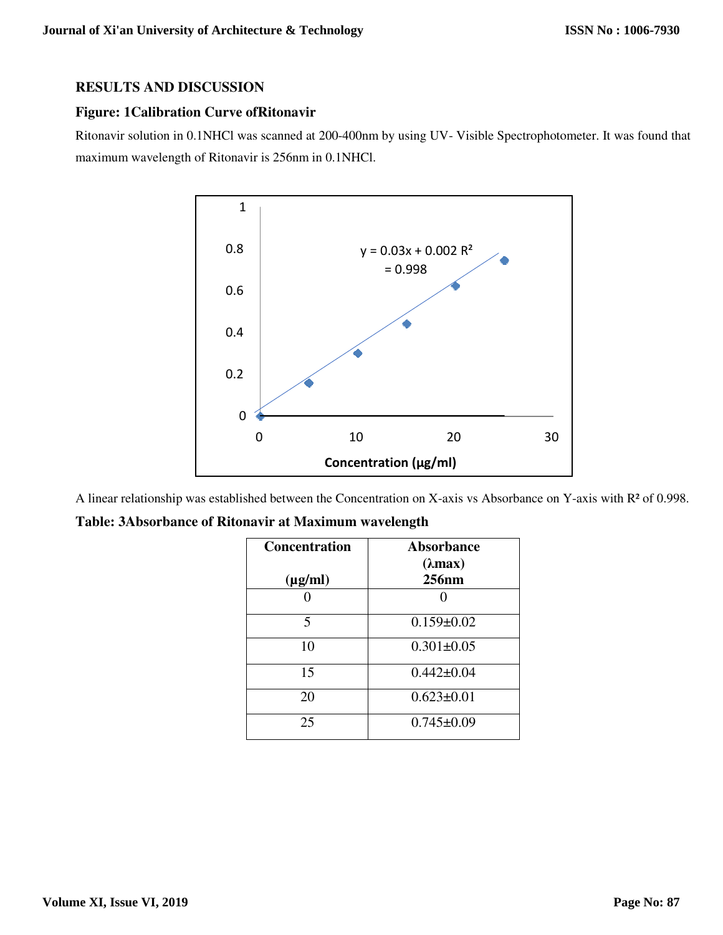#### **RESULTS AND DISCUSSION**

## **Figure: 1Calibration Curve ofRitonavir**

Ritonavir solution in 0.1NHCl was scanned at 200-400nm by using UV- Visible Spectrophotometer. It was found that maximum wavelength of Ritonavir is 256nm in 0.1NHCl.



A linear relationship was established between the Concentration on X-axis vs Absorbance on Y-axis with R² of 0.998.

|  |  |  |  |  | Table: 3Absorbance of Ritonavir at Maximum wavelength |  |  |  |  |  |
|--|--|--|--|--|-------------------------------------------------------|--|--|--|--|--|
|--|--|--|--|--|-------------------------------------------------------|--|--|--|--|--|

| <b>Concentration</b> | <b>Absorbance</b><br>$(\lambda max)$ |
|----------------------|--------------------------------------|
| $(\mu g/ml)$         | 256nm                                |
|                      |                                      |
| 5                    | $0.159 \pm 0.02$                     |
| 10                   | $0.301 \pm 0.05$                     |
| 15                   | $0.442 \pm 0.04$                     |
| 20                   | $0.623 \pm 0.01$                     |
| 25                   | $0.745 \pm 0.09$                     |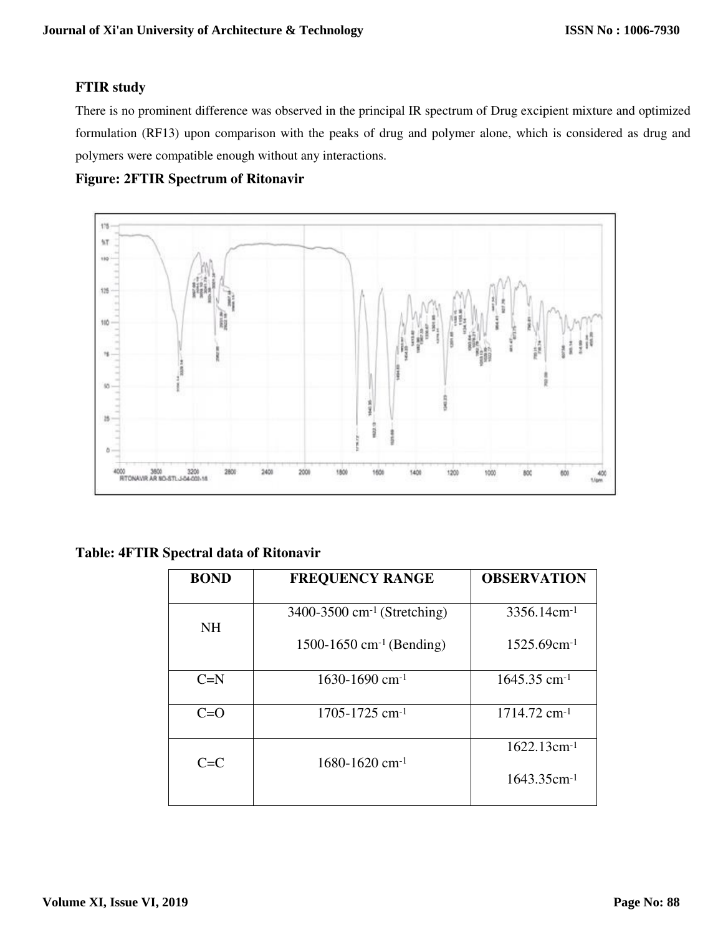# **FTIR study**

There is no prominent difference was observed in the principal IR spectrum of Drug excipient mixture and optimized formulation (RF13) upon comparison with the peaks of drug and polymer alone, which is considered as drug and polymers were compatible enough without any interactions.

# **Figure: 2FTIR Spectrum of Ritonavir**



## **Table: 4FTIR Spectral data of Ritonavir**

| <b>BOND</b> | <b>FREQUENCY RANGE</b>                  | <b>OBSERVATION</b>         |
|-------------|-----------------------------------------|----------------------------|
| <b>NH</b>   | 3400-3500 cm <sup>-1</sup> (Stretching) | $3356.14$ cm <sup>-1</sup> |
|             | 1500-1650 cm <sup>-1</sup> (Bending)    | $1525.69$ cm <sup>-1</sup> |
| $C=N$       | 1630-1690 cm <sup>-1</sup>              | $1645.35$ cm <sup>-1</sup> |
| $C=O$       | $1705 - 1725$ cm <sup>-1</sup>          | $1714.72$ cm <sup>-1</sup> |
| $C=T$       | $1680 - 1620$ cm <sup>-1</sup>          | $1622.13cm^{-1}$           |
|             |                                         | 1643.35cm-1                |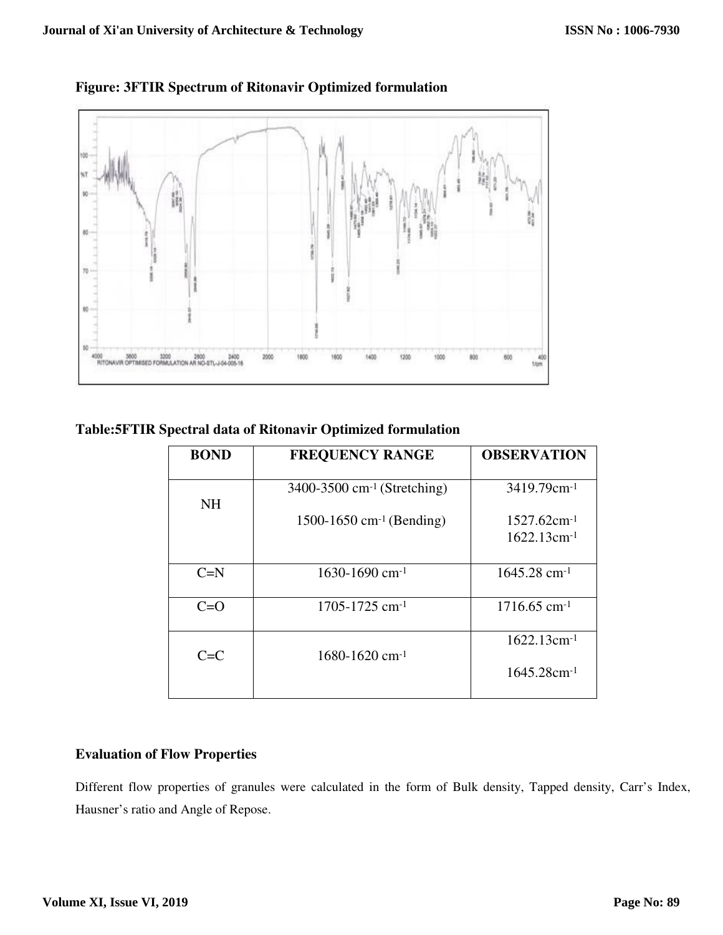



# **Table:5FTIR Spectral data of Ritonavir Optimized formulation**

| <b>BOND</b> | <b>FREQUENCY RANGE</b>                  | <b>OBSERVATION</b>                             |
|-------------|-----------------------------------------|------------------------------------------------|
| <b>NH</b>   | 3400-3500 cm <sup>-1</sup> (Stretching) | 3419.79cm <sup>-1</sup>                        |
|             | 1500-1650 cm <sup>-1</sup> (Bending)    | $1527.62$ cm <sup>-1</sup><br>$1622.13cm^{-1}$ |
| $C=N$       | 1630-1690 cm <sup>-1</sup>              | $1645.28$ cm <sup>-1</sup>                     |
| $C=O$       | $1705 - 1725$ cm <sup>-1</sup>          | $1716.65$ cm <sup>-1</sup>                     |
| $C = C$     | 1680-1620 cm <sup>-1</sup>              | $1622.13cm^{-1}$                               |
|             |                                         | $1645.28$ cm <sup>-1</sup>                     |

## **Evaluation of Flow Properties**

Different flow properties of granules were calculated in the form of Bulk density, Tapped density, Carr's Index, Hausner's ratio and Angle of Repose.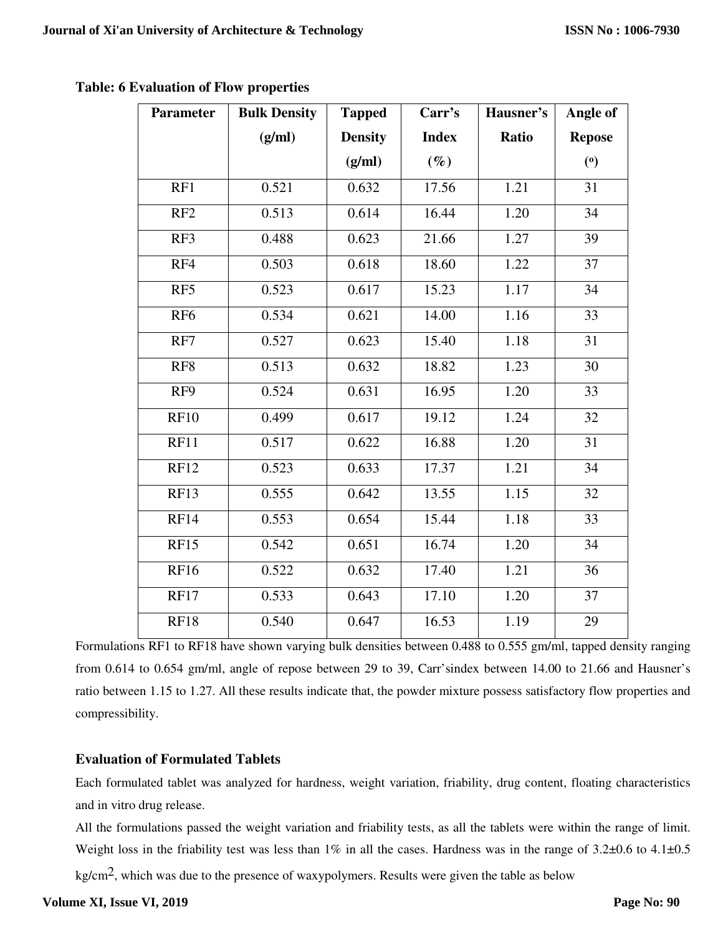| <b>Parameter</b> | <b>Bulk Density</b> | <b>Tapped</b>  | Carr's       | Hausner's | Angle of                                            |
|------------------|---------------------|----------------|--------------|-----------|-----------------------------------------------------|
|                  | (g/ml)              | <b>Density</b> | <b>Index</b> | Ratio     | <b>Repose</b>                                       |
|                  |                     | (g/ml)         | $(\%)$       |           | $\left( \begin{matrix} 0 \\ 1 \end{matrix} \right)$ |
| RF1              | 0.521               | 0.632          | 17.56        | 1.21      | 31                                                  |
| RF <sub>2</sub>  | 0.513               | 0.614          | 16.44        | 1.20      | 34                                                  |
| RF3              | 0.488               | 0.623          | 21.66        | 1.27      | 39                                                  |
| RF4              | 0.503               | 0.618          | 18.60        | 1.22      | $\overline{37}$                                     |
| RF5              | 0.523               | 0.617          | 15.23        | 1.17      | 34                                                  |
| RF <sub>6</sub>  | 0.534               | 0.621          | 14.00        | 1.16      | 33                                                  |
| RF7              | 0.527               | 0.623          | 15.40        | 1.18      | 31                                                  |
| RF <sub>8</sub>  | 0.513               | 0.632          | 18.82        | 1.23      | 30                                                  |
| RF9              | 0.524               | 0.631          | 16.95        | 1.20      | 33                                                  |
| <b>RF10</b>      | 0.499               | 0.617          | 19.12        | 1.24      | 32                                                  |
| <b>RF11</b>      | 0.517               | 0.622          | 16.88        | 1.20      | 31                                                  |
| <b>RF12</b>      | 0.523               | 0.633          | 17.37        | 1.21      | 34                                                  |
| <b>RF13</b>      | 0.555               | 0.642          | 13.55        | 1.15      | 32                                                  |
| <b>RF14</b>      | 0.553               | 0.654          | 15.44        | 1.18      | 33                                                  |
| RF15             | 0.542               | 0.651          | 16.74        | 1.20      | $\overline{34}$                                     |
| <b>RF16</b>      | 0.522               | 0.632          | 17.40        | 1.21      | 36                                                  |
| <b>RF17</b>      | 0.533               | 0.643          | 17.10        | 1.20      | 37                                                  |
| <b>RF18</b>      | 0.540               | 0.647          | 16.53        | 1.19      | 29                                                  |

**Table: 6 Evaluation of Flow properties**

Formulations RF1 to RF18 have shown varying bulk densities between 0.488 to 0.555 gm/ml, tapped density ranging from 0.614 to 0.654 gm/ml, angle of repose between 29 to 39, Carr'sindex between 14.00 to 21.66 and Hausner's ratio between 1.15 to 1.27. All these results indicate that, the powder mixture possess satisfactory flow properties and compressibility.

# **Evaluation of Formulated Tablets**

Each formulated tablet was analyzed for hardness, weight variation, friability, drug content, floating characteristics and in vitro drug release.

All the formulations passed the weight variation and friability tests, as all the tablets were within the range of limit. Weight loss in the friability test was less than 1% in all the cases. Hardness was in the range of 3.2±0.6 to 4.1±0.5

kg/cm2, which was due to the presence of waxypolymers. Results were given the table as below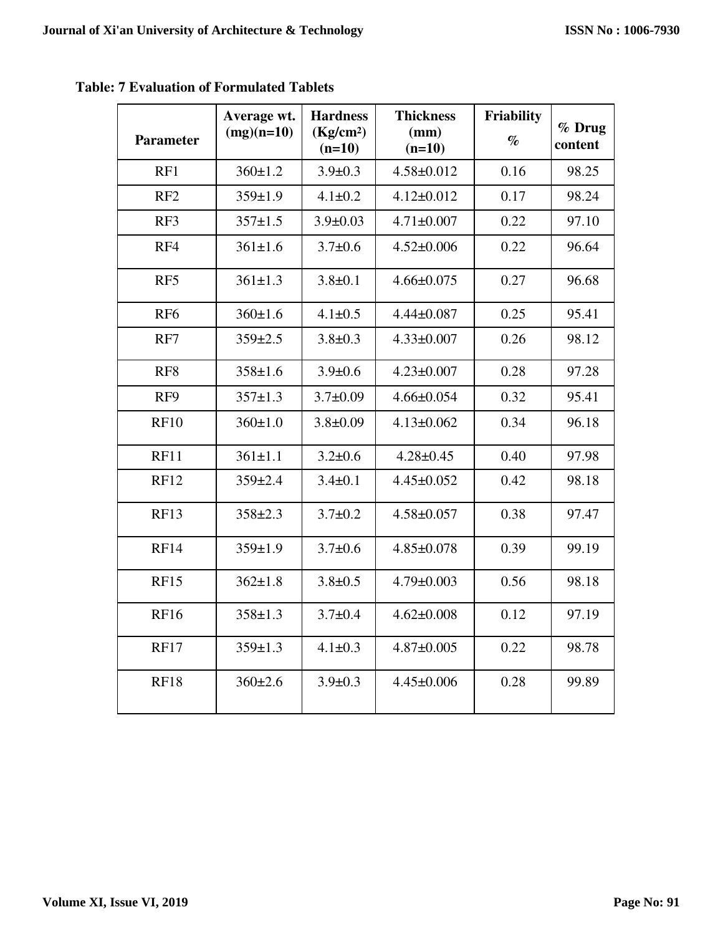| <b>Parameter</b> | Average wt.<br>$(mg)(n=10)$ | <b>Hardness</b><br>(Kg/cm <sup>2</sup> )<br>$(n=10)$ | <b>Thickness</b><br>(mm)<br>$(n=10)$ | Friability<br>$\%$ | % Drug<br>content |
|------------------|-----------------------------|------------------------------------------------------|--------------------------------------|--------------------|-------------------|
| RF1              | $360 \pm 1.2$               | $3.9 \pm 0.3$                                        | $4.58 \pm 0.012$                     | 0.16               | 98.25             |
| RF <sub>2</sub>  | $359 \pm 1.9$               | $4.1 \pm 0.2$                                        | $4.12 \pm 0.012$                     | 0.17               | 98.24             |
| RF3              | $357 \pm 1.5$               | $3.9 \pm 0.03$                                       | $4.71 \pm 0.007$                     | 0.22               | 97.10             |
| RF4              | $361 \pm 1.6$               | $3.7 \pm 0.6$                                        | $4.52 \pm 0.006$                     | 0.22               | 96.64             |
| RF5              | $361 \pm 1.3$               | $3.8 \pm 0.1$                                        | $4.66 \pm 0.075$                     | 0.27               | 96.68             |
| RF <sub>6</sub>  | $360 \pm 1.6$               | $4.1 \pm 0.5$                                        | $4.44 \pm 0.087$                     | 0.25               | 95.41             |
| RF7              | $359 \pm 2.5$               | $3.8 \pm 0.3$                                        | $4.33 \pm 0.007$                     | 0.26               | 98.12             |
| RF <sub>8</sub>  | $358 \pm 1.6$               | $3.9 \pm 0.6$                                        | $4.23 \pm 0.007$                     | 0.28               | 97.28             |
| RF9              | $357 \pm 1.3$               | $3.7 \pm 0.09$                                       | $4.66 \pm 0.054$                     | 0.32               | 95.41             |
| <b>RF10</b>      | 360±1.0                     | $3.8 \pm 0.09$                                       | $4.13 \pm 0.062$                     | 0.34               | 96.18             |
| <b>RF11</b>      | $361 \pm 1.1$               | $3.2 \pm 0.6$                                        | $4.28 \pm 0.45$                      | 0.40               | 97.98             |
| <b>RF12</b>      | $359 \pm 2.4$               | $3.4 \pm 0.1$                                        | $4.45 \pm 0.052$                     | 0.42               | 98.18             |
| <b>RF13</b>      | $358 \pm 2.3$               | $3.7 \pm 0.2$                                        | $4.58 \pm 0.057$                     | 0.38               | 97.47             |
| <b>RF14</b>      | $359 \pm 1.9$               | $3.7 \pm 0.6$                                        | $4.85 \pm 0.078$                     | 0.39               | 99.19             |
| <b>RF15</b>      | $362 \pm 1.8$               | $3.8 \pm 0.5$                                        | $4.79 \pm 0.003$                     | 0.56               | 98.18             |
| <b>RF16</b>      | $358 \pm 1.3$               | $3.7 \pm 0.4$                                        | $4.62 \pm 0.008$                     | 0.12               | 97.19             |
| <b>RF17</b>      | $359 \pm 1.3$               | $4.1 \pm 0.3$                                        | $4.87 \pm 0.005$                     | 0.22               | 98.78             |
| <b>RF18</b>      | $360 \pm 2.6$               | $3.9 \pm 0.3$                                        | $4.45 \pm 0.006$                     | 0.28               | 99.89             |

**Table: 7 Evaluation of Formulated Tablets**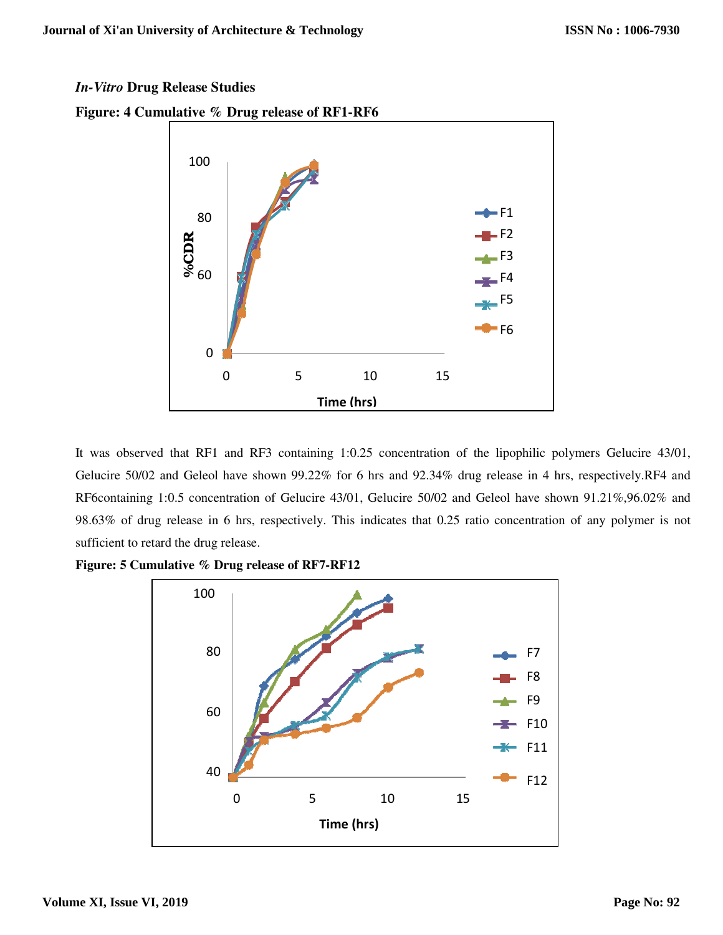## *In-Vitro* **Drug Release Studies**



**Figure: 4 Cumulative % Drug release of RF1-RF6** 

It was observed that RF1 and RF3 containing 1:0.25 concentration of the lipophilic polymers Gelucire 43/01, Gelucire 50/02 and Geleol have shown 99.22% for 6 hrs and 92.34% drug release in 4 hrs, respectively.RF4 and RF6containing 1:0.5 concentration of Gelucire 43/01, Gelucire 50/02 and Geleol have shown 91.21%,96.02% and 98.63% of drug release in 6 hrs, respectively. This indicates that 0.25 ratio concentration of any polymer is not sufficient to retard the drug release.



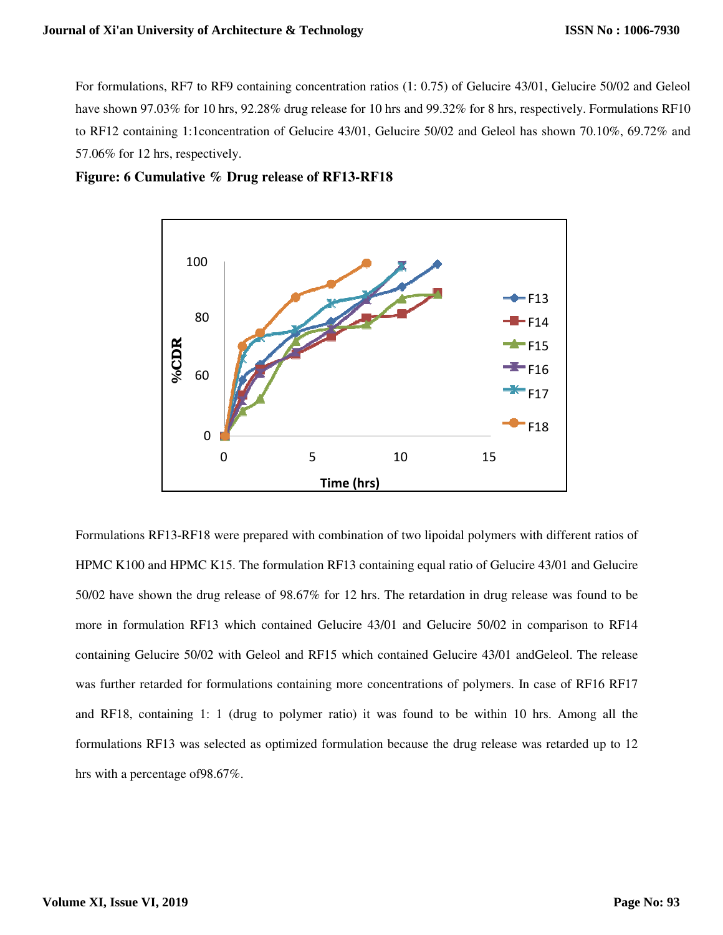For formulations, RF7 to RF9 containing concentration ratios (1: 0.75) of Gelucire 43/01, Gelucire 50/02 and Geleol have shown 97.03% for 10 hrs, 92.28% drug release for 10 hrs and 99.32% for 8 hrs, respectively. Formulations RF10 to RF12 containing 1:1concentration of Gelucire 43/01, Gelucire 50/02 and Geleol has shown 70.10%, 69.72% and 57.06% for 12 hrs, respectively.

**Figure: 6 Cumulative % Drug release of RF13-RF18** 



Formulations RF13-RF18 were prepared with combination of two lipoidal polymers with different ratios of HPMC K100 and HPMC K15. The formulation RF13 containing equal ratio of Gelucire 43/01 and Gelucire 50/02 have shown the drug release of 98.67% for 12 hrs. The retardation in drug release was found to be more in formulation RF13 which contained Gelucire 43/01 and Gelucire 50/02 in comparison to RF14 containing Gelucire 50/02 with Geleol and RF15 which contained Gelucire 43/01 andGeleol. The release was further retarded for formulations containing more concentrations of polymers. In case of RF16 RF17 and RF18, containing 1: 1 (drug to polymer ratio) it was found to be within 10 hrs. Among all the formulations RF13 was selected as optimized formulation because the drug release was retarded up to 12 Formulations RF13-RF18 were p<br>Formulations RF13-RF18 were p<br>HPMC K100 and HPMC K15. T<br>50/02 have shown the drug relear<br>more in formulation RF13 whic<br>containing Gelucire 50/02 with<br>was further retarded for formula<br>and RF18,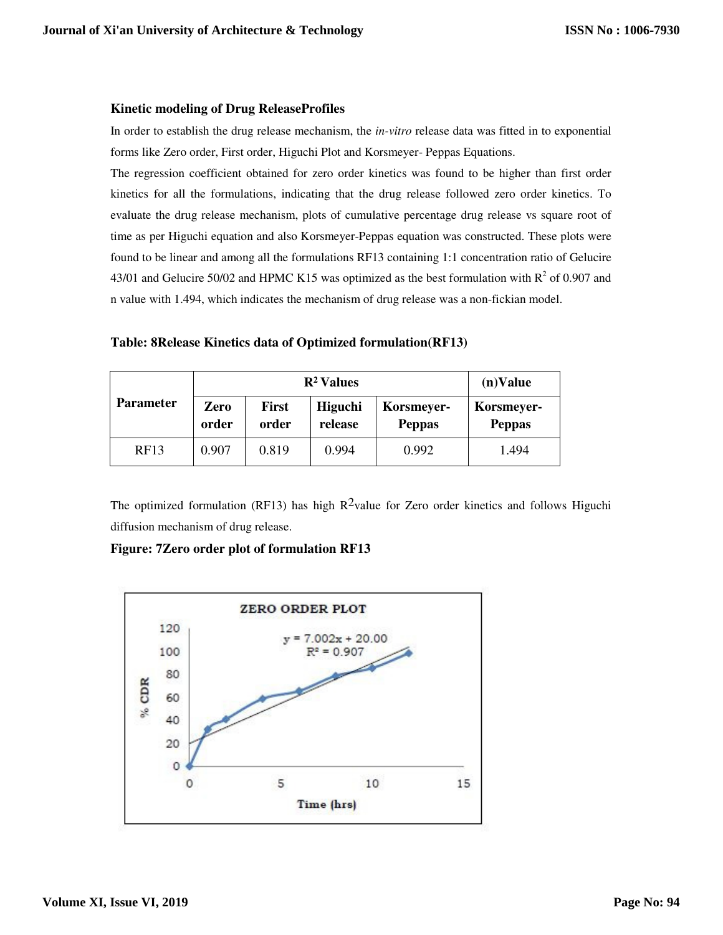#### **Kinetic modeling of Drug ReleaseProfiles**

In order to establish the drug release mechanism, the *in-vitro* release data was fitted in to exponential forms like Zero order, First order, Higuchi Plot and Korsmeyer- Peppas Equations.

The regression coefficient obtained for zero order kinetics was found to be higher than first order kinetics for all the formulations, indicating that the drug release followed zero order kinetics. To evaluate the drug release mechanism, plots of cumulative percentage drug release vs square root of time as per Higuchi equation and also Korsmeyer-Peppas equation was constructed. These plots were found to be linear and among all the formulations RF13 containing 1:1 concentration ratio of Gelucire 43/01 and Gelucire 50/02 and HPMC K15 was optimized as the best formulation with  $R^2$  of 0.907 and n value with 1.494, which indicates the mechanism of drug release was a non-fickian model.

|  |  |  | Table: 8Release Kinetics data of Optimized formulation(RF13) |
|--|--|--|--------------------------------------------------------------|
|--|--|--|--------------------------------------------------------------|

|                  |               | $(n)$ Value           |                    |                             |                             |
|------------------|---------------|-----------------------|--------------------|-----------------------------|-----------------------------|
| <b>Parameter</b> | Zero<br>order | <b>First</b><br>order | Higuchi<br>release | Korsmeyer-<br><b>Peppas</b> | Korsmeyer-<br><b>Peppas</b> |
| RF13             | 0.907         | 0.819                 | 0.994              | 0.992                       | 1.494                       |

The optimized formulation (RF13) has high  $R^2$ value for Zero order kinetics and follows Higuchi diffusion mechanism of drug release.

### **Figure: 7Zero order plot of formulation RF13**

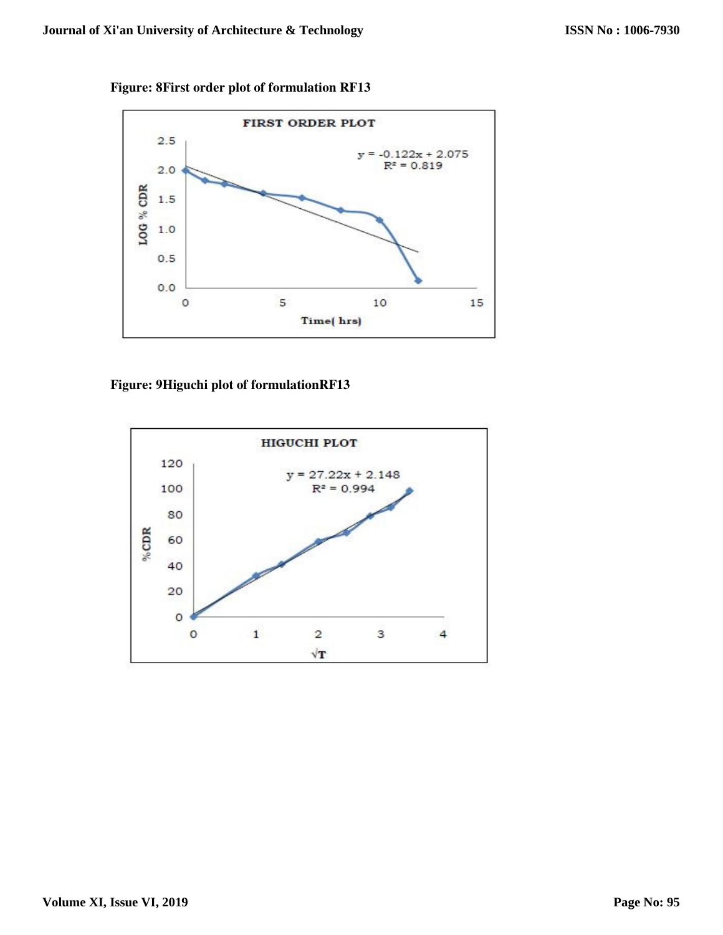**Figure: 8First order plot of formulation RF13** 



# **Figure: 9Higuchi plot of formulationRF13**

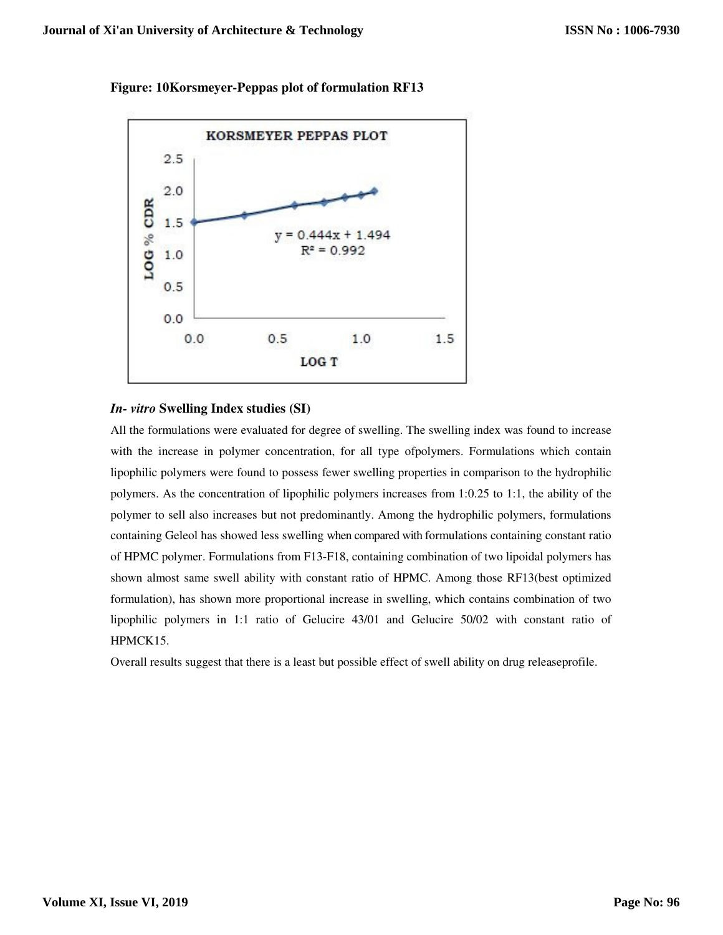

**Figure: 10Korsmeyer-Peppas plot of formulation RF13**

#### *In- vitro* **Swelling Index studies (SI)**

All the formulations were evaluated for degree of swelling. The swelling index was found to increase with the increase in polymer concentration, for all type ofpolymers. Formulations which contain lipophilic polymers were found to possess fewer swelling properties in comparison to the hydrophilic polymers. As the concentration of lipophilic polymers increases from 1:0.25 to 1:1, the ability of the polymer to sell also increases but not predominantly. Among the hydrophilic polymers, formulations containing Geleol has showed less swelling when compared with formulations containing constant ratio of HPMC polymer. Formulations from F13-F18, containing combination of two lipoidal polymers has shown almost same swell ability with constant ratio of HPMC. Among those RF13(best optimized formulation), has shown more proportional increase in swelling, which contains combination of two lipophilic polymers in 1:1 ratio of Gelucire 43/01 and Gelucire 50/02 with constant ratio of HPMCK15.

Overall results suggest that there is a least but possible effect of swell ability on drug releaseprofile.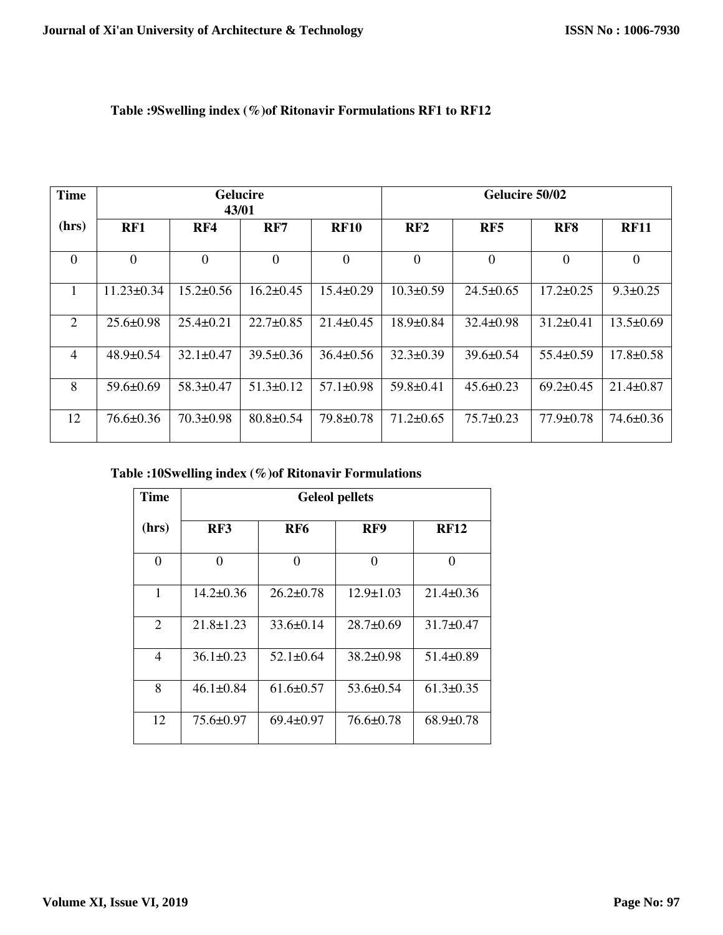| <b>Time</b>    |                  | 43/01           | <b>Gelucire</b> |                 |                 | Gelucire 50/02  |                 |                 |
|----------------|------------------|-----------------|-----------------|-----------------|-----------------|-----------------|-----------------|-----------------|
| (hrs)          | RF1              | RF4             | RF7             | <b>RF10</b>     | RF2             | RF5             | RF <sub>8</sub> | <b>RF11</b>     |
| $\overline{0}$ | $\overline{0}$   | $\overline{0}$  | $\Omega$        | $\overline{0}$  | $\overline{0}$  | $\overline{0}$  | $\overline{0}$  | $\theta$        |
|                | $11.23 \pm 0.34$ | $15.2 \pm 0.56$ | $16.2 \pm 0.45$ | $15.4 \pm 0.29$ | $10.3 \pm 0.59$ | $24.5 \pm 0.65$ | $17.2 \pm 0.25$ | $9.3 \pm 0.25$  |
| 2              | $25.6 \pm 0.98$  | $25.4 \pm 0.21$ | $22.7 \pm 0.85$ | $21.4\pm 0.45$  | $18.9 \pm 0.84$ | $32.4 \pm 0.98$ | $31.2 \pm 0.41$ | $13.5 \pm 0.69$ |
| 4              | $48.9 \pm 0.54$  | $32.1 \pm 0.47$ | $39.5 \pm 0.36$ | $36.4 \pm 0.56$ | $32.3 \pm 0.39$ | $39.6 \pm 0.54$ | $55.4 \pm 0.59$ | $17.8 \pm 0.58$ |
| 8              | $59.6 \pm 0.69$  | $58.3 \pm 0.47$ | $51.3 \pm 0.12$ | $57.1 \pm 0.98$ | $59.8 \pm 0.41$ | $45.6 \pm 0.23$ | $69.2 \pm 0.45$ | $21.4 \pm 0.87$ |
| 12             | $76.6 \pm 0.36$  | $70.3 \pm 0.98$ | $80.8 \pm 0.54$ | 79.8±0.78       | $71.2 \pm 0.65$ | $75.7 \pm 0.23$ | $77.9 \pm 0.78$ | $74.6 \pm 0.36$ |

## **Table :9Swelling index (%)of Ritonavir Formulations RF1 to RF12**

**Table :10Swelling index (%)of Ritonavir Formulations** 

| <b>Time</b> | <b>Geleol pellets</b> |                 |                 |                 |  |  |  |  |  |
|-------------|-----------------------|-----------------|-----------------|-----------------|--|--|--|--|--|
| (hrs)       | RF3                   | RF <sub>6</sub> | RF9             | <b>RF12</b>     |  |  |  |  |  |
| $\Omega$    | 0                     | 0               | 0               | 0               |  |  |  |  |  |
| 1           | $14.2 \pm 0.36$       | $26.2 \pm 0.78$ | $12.9 \pm 1.03$ | $21.4 \pm 0.36$ |  |  |  |  |  |
| 2           | $21.8 \pm 1.23$       | $33.6 \pm 0.14$ | $28.7 \pm 0.69$ | $31.7 \pm 0.47$ |  |  |  |  |  |
| 4           | $36.1 \pm 0.23$       | $52.1 \pm 0.64$ | $38.2 \pm 0.98$ | $51.4 \pm 0.89$ |  |  |  |  |  |
| 8           | $46.1 \pm 0.84$       | $61.6 \pm 0.57$ | $53.6 \pm 0.54$ | $61.3 \pm 0.35$ |  |  |  |  |  |
| 12          | $75.6 \pm 0.97$       | $69.4 \pm 0.97$ | $76.6 \pm 0.78$ | $68.9 \pm 0.78$ |  |  |  |  |  |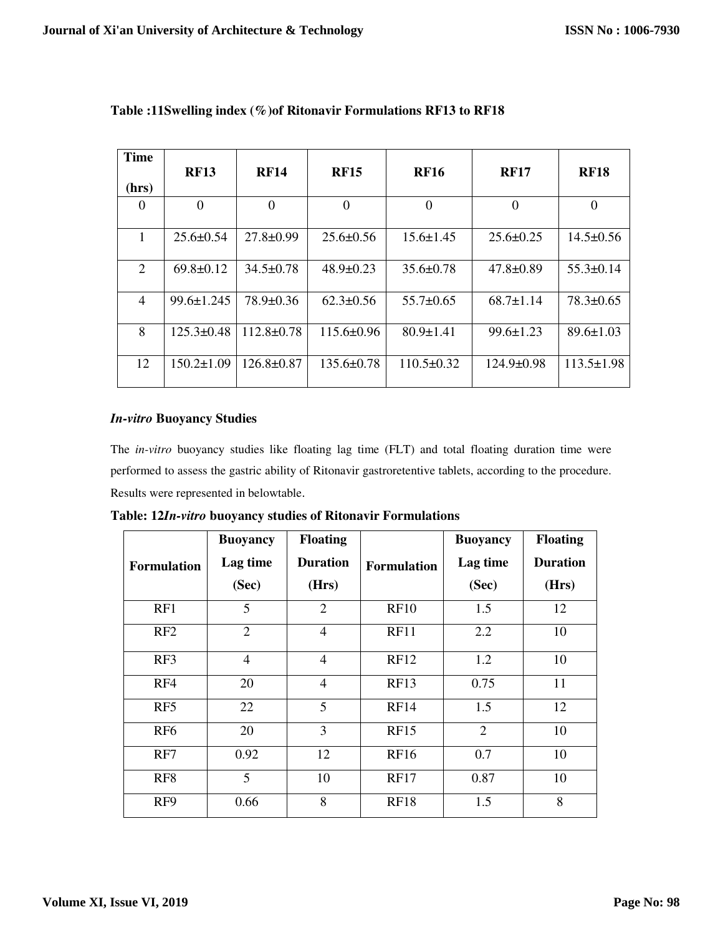| <b>Time</b><br>(hrs) | <b>RF13</b>      | <b>RF14</b>      | <b>RF15</b>      | <b>RF16</b>      | <b>RF17</b>      | <b>RF18</b>      |
|----------------------|------------------|------------------|------------------|------------------|------------------|------------------|
| $\theta$             | $\Omega$         | $\theta$         | $\Omega$         | $\Omega$         | $\overline{0}$   | $\theta$         |
| 1                    | $25.6 \pm 0.54$  | $27.8 \pm 0.99$  | $25.6 \pm 0.56$  | $15.6 \pm 1.45$  | $25.6 \pm 0.25$  | $14.5 \pm 0.56$  |
| 2                    | $69.8 \pm 0.12$  | $34.5\pm 0.78$   | $48.9 \pm 0.23$  | $35.6 \pm 0.78$  | $47.8 \pm 0.89$  | $55.3\pm 0.14$   |
| $\overline{4}$       | $99.6 \pm 1.245$ | $78.9 \pm 0.36$  | $62.3 \pm 0.56$  | $55.7 \pm 0.65$  | $68.7 \pm 1.14$  | $78.3 \pm 0.65$  |
| 8                    | $125.3 \pm 0.48$ | $112.8 \pm 0.78$ | $115.6 \pm 0.96$ | $80.9 \pm 1.41$  | $99.6 \pm 1.23$  | $89.6 \pm 1.03$  |
| 12                   | $150.2 \pm 1.09$ | $126.8 \pm 0.87$ | $135.6 \pm 0.78$ | $110.5 \pm 0.32$ | $124.9 \pm 0.98$ | $113.5 \pm 1.98$ |

# **Table :11Swelling index (%)of Ritonavir Formulations RF13 to RF18**

#### *In-vitro* **Buoyancy Studies**

The *in-vitro* buoyancy studies like floating lag time (FLT) and total floating duration time were performed to assess the gastric ability of Ritonavir gastroretentive tablets, according to the procedure. Results were represented in belowtable.

|                    | <b>Buoyancy</b> | <b>Floating</b> |                    | <b>Buoyancy</b> | <b>Floating</b> |
|--------------------|-----------------|-----------------|--------------------|-----------------|-----------------|
| <b>Formulation</b> | Lag time        | <b>Duration</b> | <b>Formulation</b> | Lag time        | <b>Duration</b> |
|                    | (Sec)           | (Hrs)           |                    | (Sec)           | (Hrs)           |
| RF1                | 5               | 2               | <b>RF10</b>        | 1.5             | 12              |
| RF2                | $\overline{2}$  | $\overline{4}$  | RF11               | 2.2             | 10              |
| RF3                | 4               | $\overline{4}$  | RF12               | 1.2             | 10              |
| RF4                | 20              | $\overline{4}$  | RF13               | 0.75            | 11              |
| RF <sub>5</sub>    | 22              | 5               | RF14               | 1.5             | 12              |
| RF <sub>6</sub>    | 20              | 3               | RF15               | 2               | 10              |
| RF7                | 0.92            | 12              | RF16               | 0.7             | 10              |
| RF <sub>8</sub>    | 5               | 10              | <b>RF17</b>        | 0.87            | 10              |
| RF <sub>9</sub>    | 0.66            | 8               | <b>RF18</b>        | 1.5             | 8               |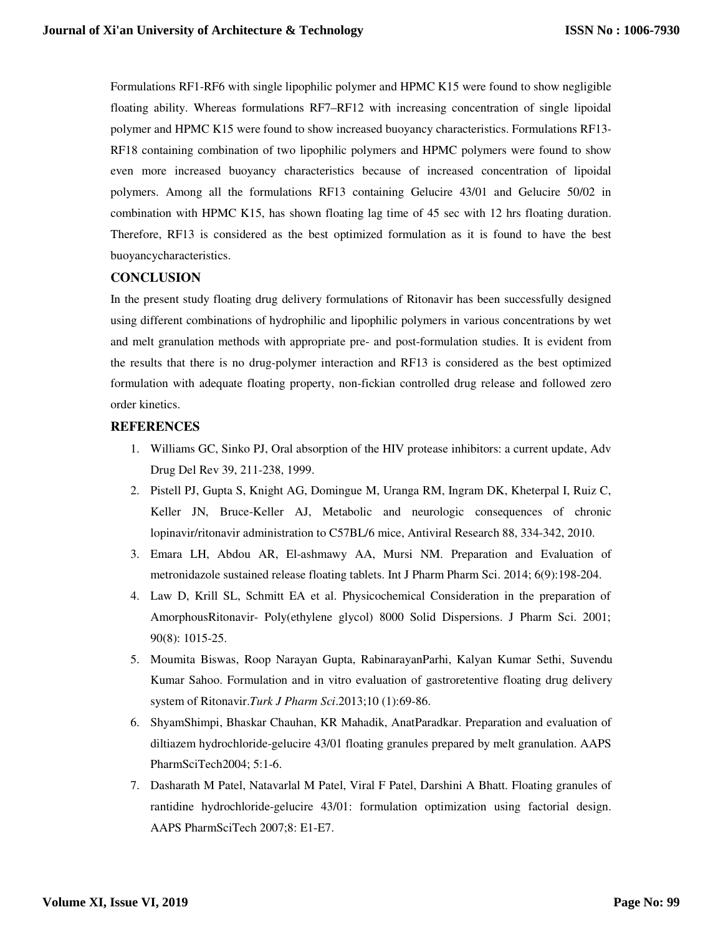Formulations RF1-RF6 with single lipophilic polymer and HPMC K15 were found to show negligible floating ability. Whereas formulations RF7–RF12 with increasing concentration of single lipoidal polymer and HPMC K15 were found to show increased buoyancy characteristics. Formulations RF13- RF18 containing combination of two lipophilic polymers and HPMC polymers were found to show even more increased buoyancy characteristics because of increased concentration of lipoidal polymers. Among all the formulations RF13 containing Gelucire 43/01 and Gelucire 50/02 in combination with HPMC K15, has shown floating lag time of 45 sec with 12 hrs floating duration. Therefore, RF13 is considered as the best optimized formulation as it is found to have the best buoyancycharacteristics.

#### **CONCLUSION**

In the present study floating drug delivery formulations of Ritonavir has been successfully designed using different combinations of hydrophilic and lipophilic polymers in various concentrations by wet and melt granulation methods with appropriate pre- and post-formulation studies. It is evident from the results that there is no drug-polymer interaction and RF13 is considered as the best optimized formulation with adequate floating property, non-fickian controlled drug release and followed zero order kinetics.

#### **REFERENCES**

- 1. Williams GC, Sinko PJ, Oral absorption of the HIV protease inhibitors: a current update, Adv Drug Del Rev 39, 211-238, 1999.
- 2. Pistell PJ, Gupta S, Knight AG, Domingue M, Uranga RM, Ingram DK, Kheterpal I, Ruiz C, Keller JN, Bruce-Keller AJ, Metabolic and neurologic consequences of chronic lopinavir/ritonavir administration to C57BL/6 mice, Antiviral Research 88, 334-342, 2010.
- 3. Emara LH, Abdou AR, El-ashmawy AA, Mursi NM. Preparation and Evaluation of metronidazole sustained release floating tablets. Int J Pharm Pharm Sci. 2014; 6(9):198-204.
- 4. Law D, Krill SL, Schmitt EA et al. Physicochemical Consideration in the preparation of AmorphousRitonavir- Poly(ethylene glycol) 8000 Solid Dispersions. J Pharm Sci. 2001; 90(8): 1015-25.
- 5. Moumita Biswas, Roop Narayan Gupta, RabinarayanParhi, Kalyan Kumar Sethi, Suvendu Kumar Sahoo. Formulation and in vitro evaluation of gastroretentive floating drug delivery system of Ritonavir.*Turk J Pharm Sci*.2013;10 (1):69-86.
- 6. ShyamShimpi, Bhaskar Chauhan, KR Mahadik, AnatParadkar. Preparation and evaluation of diltiazem hydrochloride-gelucire 43/01 floating granules prepared by melt granulation. AAPS PharmSciTech2004; 5:1-6.
- 7. Dasharath M Patel, Natavarlal M Patel, Viral F Patel, Darshini A Bhatt. Floating granules of rantidine hydrochloride-gelucire 43/01: formulation optimization using factorial design. AAPS PharmSciTech 2007;8: E1-E7.